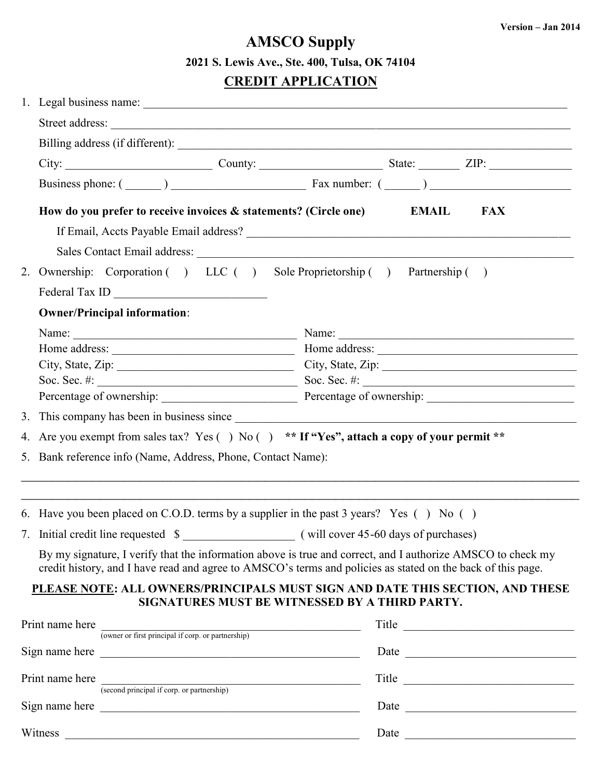## **AMSCO Supply 2021 S. Lewis Ave., Ste. 400, Tulsa, OK 74104**

## **CREDIT APPLICATION**

|                                                                           | City: $\begin{array}{c c c c c} \hline \text{City:} & \text{Country:} & \text{State:} & \text{ZIP:} \end{array}$                                                                                                               |  |  |            |  |  |
|---------------------------------------------------------------------------|--------------------------------------------------------------------------------------------------------------------------------------------------------------------------------------------------------------------------------|--|--|------------|--|--|
|                                                                           | Business phone: $(\_\_)$ $\_\_$ Fax number: $(\_\_)$                                                                                                                                                                           |  |  |            |  |  |
|                                                                           | How do you prefer to receive invoices & statements? (Circle one) EMAIL                                                                                                                                                         |  |  | <b>FAX</b> |  |  |
|                                                                           |                                                                                                                                                                                                                                |  |  |            |  |  |
|                                                                           |                                                                                                                                                                                                                                |  |  |            |  |  |
|                                                                           |                                                                                                                                                                                                                                |  |  |            |  |  |
| 2. Ownership: Corporation () LLC () Sole Proprietorship () Partnership () |                                                                                                                                                                                                                                |  |  |            |  |  |
|                                                                           |                                                                                                                                                                                                                                |  |  |            |  |  |
| <b>Owner/Principal information:</b>                                       |                                                                                                                                                                                                                                |  |  |            |  |  |
|                                                                           |                                                                                                                                                                                                                                |  |  |            |  |  |
|                                                                           |                                                                                                                                                                                                                                |  |  |            |  |  |
|                                                                           | City, State, Zip: City, State, Zip: City, State, Zip:                                                                                                                                                                          |  |  |            |  |  |
|                                                                           | Percentage of ownership: Percentage of ownership: _______________________________                                                                                                                                              |  |  |            |  |  |
|                                                                           |                                                                                                                                                                                                                                |  |  |            |  |  |
|                                                                           |                                                                                                                                                                                                                                |  |  |            |  |  |
|                                                                           | 4. Are you exempt from sales tax? Yes () No () ** If "Yes", attach a copy of your permit **                                                                                                                                    |  |  |            |  |  |
|                                                                           | 5. Bank reference info (Name, Address, Phone, Contact Name):                                                                                                                                                                   |  |  |            |  |  |
|                                                                           |                                                                                                                                                                                                                                |  |  |            |  |  |
|                                                                           |                                                                                                                                                                                                                                |  |  |            |  |  |
|                                                                           | 6. Have you been placed on C.O.D. terms by a supplier in the past 3 years? Yes () No ()                                                                                                                                        |  |  |            |  |  |
|                                                                           |                                                                                                                                                                                                                                |  |  |            |  |  |
|                                                                           | By my signature, I verify that the information above is true and correct, and I authorize AMSCO to check my<br>credit history, and I have read and agree to AMSCO's terms and policies as stated on the back of this page.     |  |  |            |  |  |
|                                                                           | PLEASE NOTE: ALL OWNERS/PRINCIPALS MUST SIGN AND DATE THIS SECTION, AND THESE                                                                                                                                                  |  |  |            |  |  |
|                                                                           | SIGNATURES MUST BE WITNESSED BY A THIRD PARTY.                                                                                                                                                                                 |  |  |            |  |  |
|                                                                           | Print name here<br>(owner or first principal if corp. or partnership)                                                                                                                                                          |  |  | Title      |  |  |
|                                                                           |                                                                                                                                                                                                                                |  |  |            |  |  |
|                                                                           |                                                                                                                                                                                                                                |  |  |            |  |  |
|                                                                           | Print name here<br>(second principal if corp. or partnership)                                                                                                                                                                  |  |  |            |  |  |
|                                                                           | Sign name here                                                                                                                                                                                                                 |  |  |            |  |  |
|                                                                           |                                                                                                                                                                                                                                |  |  |            |  |  |
|                                                                           | Witness experience and the set of the set of the set of the set of the set of the set of the set of the set of the set of the set of the set of the set of the set of the set of the set of the set of the set of the set of t |  |  |            |  |  |